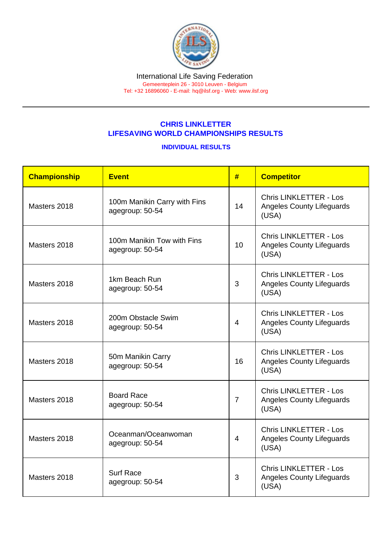## CHRIS LINKLETTER LIFESAVING WORLD CHAMPIONSHIPS RESULTS

## INDIVIDUAL RESULTS

| Championship | Event                                           | #              | <b>Competitor</b>                                                          |
|--------------|-------------------------------------------------|----------------|----------------------------------------------------------------------------|
| Masters 2018 | 100m Manikin Carry with Fins<br>agegroup: 50-54 | 14             | <b>Chris LINKLETTER - Los</b><br><b>Angeles County Lifeguards</b><br>(USA) |
| Masters 2018 | 100m Manikin Tow with Fins<br>agegroup: 50-54   | 10             | <b>Chris LINKLETTER - Los</b><br><b>Angeles County Lifeguards</b><br>(USA) |
| Masters 2018 | 1km Beach Run<br>agegroup: 50-54                | 3              | <b>Chris LINKLETTER - Los</b><br><b>Angeles County Lifeguards</b><br>(USA) |
| Masters 2018 | 200m Obstacle Swim<br>agegroup: 50-54           | $\overline{4}$ | <b>Chris LINKLETTER - Los</b><br><b>Angeles County Lifeguards</b><br>(USA) |
| Masters 2018 | 50m Manikin Carry<br>agegroup: 50-54            | 16             | <b>Chris LINKLETTER - Los</b><br><b>Angeles County Lifeguards</b><br>(USA) |
| Masters 2018 | <b>Board Race</b><br>agegroup: 50-54            | $\overline{7}$ | <b>Chris LINKLETTER - Los</b><br><b>Angeles County Lifeguards</b><br>(USA) |
| Masters 2018 | Oceanman/Oceanwoman<br>agegroup: 50-54          | $\overline{4}$ | <b>Chris LINKLETTER - Los</b><br><b>Angeles County Lifeguards</b><br>(USA) |
| Masters 2018 | <b>Surf Race</b><br>agegroup: 50-54             | 3              | <b>Chris LINKLETTER - Los</b><br><b>Angeles County Lifeguards</b><br>(USA) |